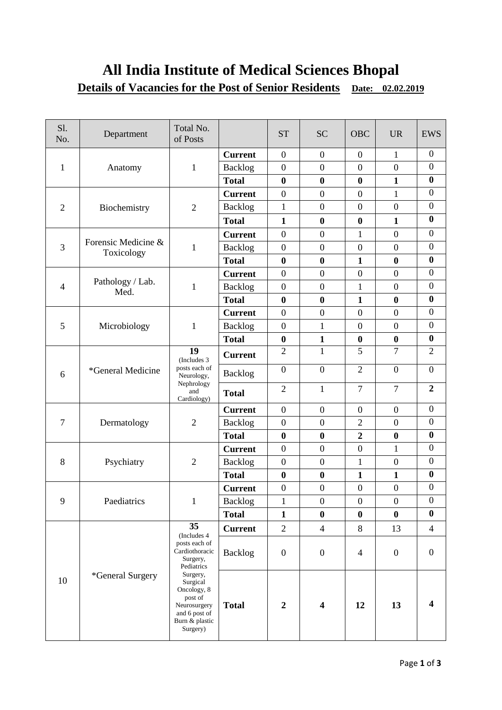# **All India Institute of Medical Sciences Bhopal Details of Vacancies for the Post of Senior Residents** Date: 02.02.2019

| S1.<br>No.     | Department                        | Total No.<br>of Posts                                                                                                                                                                           |                | <b>ST</b>        | <b>SC</b>               | <b>OBC</b>       | <b>UR</b>        | <b>EWS</b>              |
|----------------|-----------------------------------|-------------------------------------------------------------------------------------------------------------------------------------------------------------------------------------------------|----------------|------------------|-------------------------|------------------|------------------|-------------------------|
| 1              | Anatomy                           | 1                                                                                                                                                                                               | <b>Current</b> | $\boldsymbol{0}$ | $\boldsymbol{0}$        | $\overline{0}$   | $\mathbf{1}$     | $\mathbf{0}$            |
|                |                                   |                                                                                                                                                                                                 | <b>Backlog</b> | $\boldsymbol{0}$ | $\boldsymbol{0}$        | $\boldsymbol{0}$ | $\overline{0}$   | $\boldsymbol{0}$        |
|                |                                   |                                                                                                                                                                                                 | <b>Total</b>   | $\bf{0}$         | $\boldsymbol{0}$        | $\boldsymbol{0}$ | $\mathbf{1}$     | $\bf{0}$                |
| $\overline{2}$ | Biochemistry                      | $\overline{2}$                                                                                                                                                                                  | <b>Current</b> | $\boldsymbol{0}$ | $\overline{0}$          | $\boldsymbol{0}$ | $\mathbf{1}$     | $\boldsymbol{0}$        |
|                |                                   |                                                                                                                                                                                                 | <b>Backlog</b> | $\mathbf{1}$     | $\boldsymbol{0}$        | $\boldsymbol{0}$ | $\boldsymbol{0}$ | $\boldsymbol{0}$        |
|                |                                   |                                                                                                                                                                                                 | <b>Total</b>   | $\mathbf{1}$     | $\boldsymbol{0}$        | $\boldsymbol{0}$ | $\mathbf{1}$     | $\bf{0}$                |
| 3              | Forensic Medicine &<br>Toxicology | 1                                                                                                                                                                                               | <b>Current</b> | $\boldsymbol{0}$ | $\overline{0}$          | $\mathbf{1}$     | $\overline{0}$   | $\boldsymbol{0}$        |
|                |                                   |                                                                                                                                                                                                 | <b>Backlog</b> | $\boldsymbol{0}$ | $\boldsymbol{0}$        | $\boldsymbol{0}$ | $\boldsymbol{0}$ | $\boldsymbol{0}$        |
|                |                                   |                                                                                                                                                                                                 | <b>Total</b>   | $\bf{0}$         | $\bf{0}$                | $\mathbf{1}$     | $\bf{0}$         | $\bf{0}$                |
| $\overline{4}$ | Pathology / Lab.<br>Med.          | $\mathbf{1}$                                                                                                                                                                                    | <b>Current</b> | $\boldsymbol{0}$ | $\boldsymbol{0}$        | $\boldsymbol{0}$ | $\overline{0}$   | $\boldsymbol{0}$        |
|                |                                   |                                                                                                                                                                                                 | Backlog        | $\boldsymbol{0}$ | $\boldsymbol{0}$        | $\mathbf{1}$     | $\overline{0}$   | $\overline{0}$          |
|                |                                   |                                                                                                                                                                                                 | <b>Total</b>   | $\boldsymbol{0}$ | $\bf{0}$                | $\mathbf{1}$     | $\bf{0}$         | $\bf{0}$                |
|                | Microbiology                      | 1                                                                                                                                                                                               | <b>Current</b> | $\boldsymbol{0}$ | $\boldsymbol{0}$        | $\boldsymbol{0}$ | $\boldsymbol{0}$ | $\boldsymbol{0}$        |
| 5              |                                   |                                                                                                                                                                                                 | <b>Backlog</b> | $\boldsymbol{0}$ | $\mathbf{1}$            | $\boldsymbol{0}$ | $\overline{0}$   | $\overline{0}$          |
|                |                                   |                                                                                                                                                                                                 | <b>Total</b>   | $\bf{0}$         | $\mathbf{1}$            | $\boldsymbol{0}$ | $\boldsymbol{0}$ | $\boldsymbol{0}$        |
| 6              | *General Medicine                 | 19<br>(Includes 3)<br>posts each of<br>Neurology,<br>Nephrology<br>and<br>Cardiology)                                                                                                           | <b>Current</b> | $\overline{2}$   | $\mathbf{1}$            | 5                | $\overline{7}$   | $\overline{2}$          |
|                |                                   |                                                                                                                                                                                                 | <b>Backlog</b> | $\boldsymbol{0}$ | $\mathbf{0}$            | $\overline{2}$   | $\overline{0}$   | $\boldsymbol{0}$        |
|                |                                   |                                                                                                                                                                                                 | <b>Total</b>   | $\overline{2}$   | 1                       | $\tau$           | $\overline{7}$   | $\boldsymbol{2}$        |
|                | Dermatology                       | $\mathfrak{2}$                                                                                                                                                                                  | <b>Current</b> | $\boldsymbol{0}$ | $\boldsymbol{0}$        | $\boldsymbol{0}$ | $\boldsymbol{0}$ | $\boldsymbol{0}$        |
| $\overline{7}$ |                                   |                                                                                                                                                                                                 | <b>Backlog</b> | $\boldsymbol{0}$ | $\boldsymbol{0}$        | $\sqrt{2}$       | $\overline{0}$   | $\mathbf{0}$            |
|                |                                   |                                                                                                                                                                                                 | <b>Total</b>   | $\boldsymbol{0}$ | $\boldsymbol{0}$        | $\overline{2}$   | $\bf{0}$         | $\bf{0}$                |
|                | Psychiatry                        | $\overline{2}$                                                                                                                                                                                  | <b>Current</b> | $\boldsymbol{0}$ | $\boldsymbol{0}$        | $\boldsymbol{0}$ | 1                | $\boldsymbol{0}$        |
| 8              |                                   |                                                                                                                                                                                                 | <b>Backlog</b> | $\boldsymbol{0}$ | $\boldsymbol{0}$        | $\mathbf{1}$     | $\overline{0}$   | $\boldsymbol{0}$        |
|                |                                   |                                                                                                                                                                                                 | <b>Total</b>   | $\boldsymbol{0}$ | $\boldsymbol{0}$        | $\mathbf{1}$     | $\mathbf{1}$     | $\boldsymbol{0}$        |
| 9              | Paediatrics                       | $\mathbf{1}$                                                                                                                                                                                    | <b>Current</b> | $\boldsymbol{0}$ | $\boldsymbol{0}$        | $\boldsymbol{0}$ | $\overline{0}$   | $\boldsymbol{0}$        |
|                |                                   |                                                                                                                                                                                                 | Backlog        | $\mathbf 1$      | $\boldsymbol{0}$        | $\boldsymbol{0}$ | $\boldsymbol{0}$ | $\boldsymbol{0}$        |
|                |                                   |                                                                                                                                                                                                 | <b>Total</b>   | $\mathbf{1}$     | $\bf{0}$                | $\bf{0}$         | $\bf{0}$         | $\bf{0}$                |
| 10             | *General Surgery                  | 35<br>(Includes 4<br>posts each of<br>Cardiothoracic<br>Surgery,<br>Pediatrics<br>Surgery,<br>Surgical<br>Oncology, 8<br>post of<br>Neurosurgery<br>and 6 post of<br>Burn & plastic<br>Surgery) | <b>Current</b> | $\overline{2}$   | $\overline{4}$          | $8\,$            | 13               | $\overline{4}$          |
|                |                                   |                                                                                                                                                                                                 | <b>Backlog</b> | $\boldsymbol{0}$ | $\boldsymbol{0}$        | $\overline{4}$   | $\boldsymbol{0}$ | $\boldsymbol{0}$        |
|                |                                   |                                                                                                                                                                                                 | <b>Total</b>   | $\boldsymbol{2}$ | $\overline{\mathbf{4}}$ | 12               | 13               | $\overline{\mathbf{4}}$ |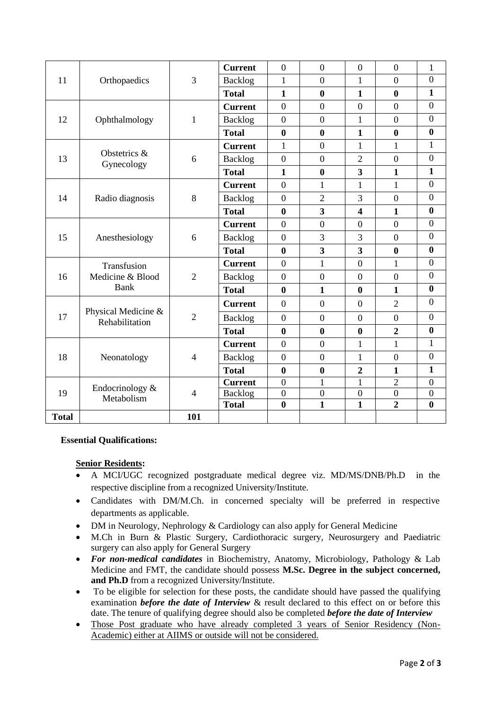| 11           | Orthopaedics                                  | 3              | <b>Current</b> | $\overline{0}$   | $\overline{0}$          | $\overline{0}$          | $\overline{0}$   | $\mathbf{1}$     |
|--------------|-----------------------------------------------|----------------|----------------|------------------|-------------------------|-------------------------|------------------|------------------|
|              |                                               |                | <b>Backlog</b> | $\mathbf{1}$     | $\Omega$                | 1                       | $\Omega$         | $\boldsymbol{0}$ |
|              |                                               |                | <b>Total</b>   | $\mathbf{1}$     | $\bf{0}$                | $\mathbf{1}$            | $\bf{0}$         | $\mathbf{1}$     |
| 12           | Ophthalmology                                 | $\mathbf{1}$   | <b>Current</b> | $\boldsymbol{0}$ | $\overline{0}$          | $\overline{0}$          | $\overline{0}$   | $\overline{0}$   |
|              |                                               |                | Backlog        | $\mathbf{0}$     | $\theta$                | $\mathbf{1}$            | $\Omega$         | $\overline{0}$   |
|              |                                               |                | <b>Total</b>   | $\bf{0}$         | $\bf{0}$                | $\mathbf{1}$            | $\bf{0}$         | $\bf{0}$         |
| 13<br>14     | Obstetrics &<br>Gynecology<br>Radio diagnosis | 6<br>8         | <b>Current</b> | $\mathbf{1}$     | $\overline{0}$          | 1                       | $\mathbf{1}$     | $\mathbf{1}$     |
|              |                                               |                | <b>Backlog</b> | $\mathbf{0}$     | $\theta$                | $\overline{2}$          | $\theta$         | $\boldsymbol{0}$ |
|              |                                               |                | <b>Total</b>   | $\mathbf{1}$     | $\bf{0}$                | 3                       | $\mathbf{1}$     | $\mathbf{1}$     |
|              |                                               |                | <b>Current</b> | $\boldsymbol{0}$ | 1                       | 1                       | $\mathbf{1}$     | $\overline{0}$   |
|              |                                               |                | <b>Backlog</b> | $\overline{0}$   | $\overline{2}$          | 3                       | $\Omega$         | $\boldsymbol{0}$ |
|              |                                               |                | <b>Total</b>   | $\bf{0}$         | $\overline{\mathbf{3}}$ | $\overline{\mathbf{4}}$ | $\mathbf{1}$     | $\bf{0}$         |
|              | Anesthesiology                                | 6              | <b>Current</b> | $\mathbf{0}$     | $\overline{0}$          | $\overline{0}$          | $\overline{0}$   | $\overline{0}$   |
| 15           |                                               |                | <b>Backlog</b> | $\boldsymbol{0}$ | 3                       | 3                       | $\overline{0}$   | $\boldsymbol{0}$ |
|              |                                               |                | <b>Total</b>   | $\bf{0}$         | $\overline{\mathbf{3}}$ | 3                       | $\bf{0}$         | $\bf{0}$         |
| 16           | Transfusion<br>Medicine & Blood<br>Bank       | $\overline{2}$ | <b>Current</b> | $\mathbf{0}$     | $\mathbf{1}$            | $\overline{0}$          | $\mathbf{1}$     | $\overline{0}$   |
|              |                                               |                | <b>Backlog</b> | $\mathbf{0}$     | $\overline{0}$          | $\overline{0}$          | $\overline{0}$   | $\boldsymbol{0}$ |
|              |                                               |                | <b>Total</b>   | $\boldsymbol{0}$ | $\mathbf{1}$            | $\bf{0}$                | $\mathbf{1}$     | $\bf{0}$         |
| 17           | Physical Medicine &<br>Rehabilitation         | $\overline{2}$ | <b>Current</b> | $\overline{0}$   | $\overline{0}$          | $\overline{0}$          | $\overline{2}$   | $\overline{0}$   |
|              |                                               |                | <b>Backlog</b> | $\boldsymbol{0}$ | $\overline{0}$          | $\overline{0}$          | $\overline{0}$   | $\overline{0}$   |
|              |                                               |                | <b>Total</b>   | $\boldsymbol{0}$ | $\bf{0}$                | $\bf{0}$                | $\overline{2}$   | $\bf{0}$         |
| 18           | Neonatology                                   | $\overline{4}$ | <b>Current</b> | $\overline{0}$   | $\theta$                | $\mathbf{1}$            | $\mathbf{1}$     | $\mathbf{1}$     |
|              |                                               |                | <b>Backlog</b> | $\mathbf{0}$     | $\overline{0}$          | 1                       | $\overline{0}$   | $\overline{0}$   |
|              |                                               |                | <b>Total</b>   | $\bf{0}$         | $\bf{0}$                | $\boldsymbol{2}$        | $\mathbf{1}$     | $\mathbf{1}$     |
| 19           | Endocrinology $&$<br>Metabolism               | $\overline{4}$ | <b>Current</b> | $\boldsymbol{0}$ | 1                       | 1                       | $\overline{2}$   | $\boldsymbol{0}$ |
|              |                                               |                | <b>Backlog</b> | $\overline{0}$   | $\boldsymbol{0}$        | $\boldsymbol{0}$        | $\boldsymbol{0}$ | $\boldsymbol{0}$ |
|              |                                               |                | <b>Total</b>   | $\bf{0}$         | $\mathbf{1}$            | $\mathbf{1}$            | $\overline{2}$   | $\bf{0}$         |
| <b>Total</b> |                                               | 101            |                |                  |                         |                         |                  |                  |

#### **Essential Qualifications:**

# **Senior Residents:**

- A MCI/UGC recognized postgraduate medical degree viz. MD/MS/DNB/Ph.D in the respective discipline from a recognized University/Institute.
- Candidates with DM/M.Ch. in concerned specialty will be preferred in respective departments as applicable.
- DM in Neurology, Nephrology & Cardiology can also apply for General Medicine
- M.Ch in Burn & Plastic Surgery, Cardiothoracic surgery, Neurosurgery and Paediatric surgery can also apply for General Surgery
- *For non-medical candidates* in Biochemistry, Anatomy, Microbiology, Pathology & Lab Medicine and FMT, the candidate should possess **M.Sc. Degree in the subject concerned, and Ph.D** from a recognized University/Institute.
- To be eligible for selection for these posts, the candidate should have passed the qualifying examination *before the date of Interview* & result declared to this effect on or before this date. The tenure of qualifying degree should also be completed *before the date of Interview*
- Those Post graduate who have already completed 3 years of Senior Residency (Non-Academic) either at AIIMS or outside will not be considered.